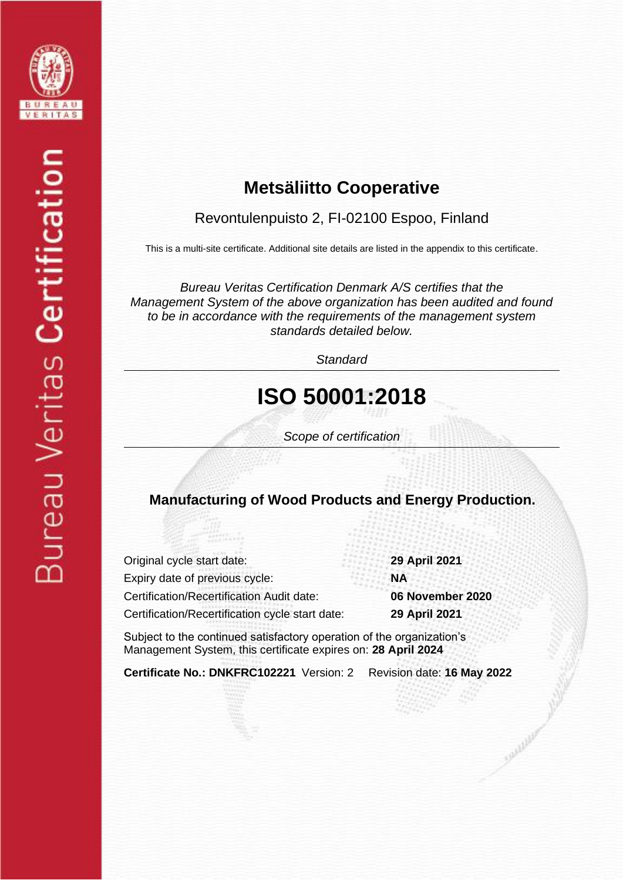

## **Metsäliitto Cooperative**

### Revontulenpuisto 2, FI-02100 Espoo, Finland

This is a multi-site certificate. Additional site details are listed in the appendix to this certificate.

*Bureau Veritas Certification Denmark A/S certifies that the Management System of the above organization has been audited and found to be in accordance with the requirements of the management system standards detailed below.*

*Standard*

# **ISO 50001:2018**

*Scope of certification*

### **Manufacturing of Wood Products and Energy Production.**

| Original cycle start date:                      | 29 April 2021    |
|-------------------------------------------------|------------------|
| Expiry date of previous cycle:                  | <b>NA</b>        |
| Certification/Recertification Audit date:       | 06 November 2020 |
| Certification/Recertification cycle start date: | 29 April 2021    |

Subject to the continued satisfactory operation of the organization's Management System, this certificate expires on: **28 April 2024**

**Certificate No.: DNKFRC102221** Version: 2 Revision date: **16 May 2022**

Smithling